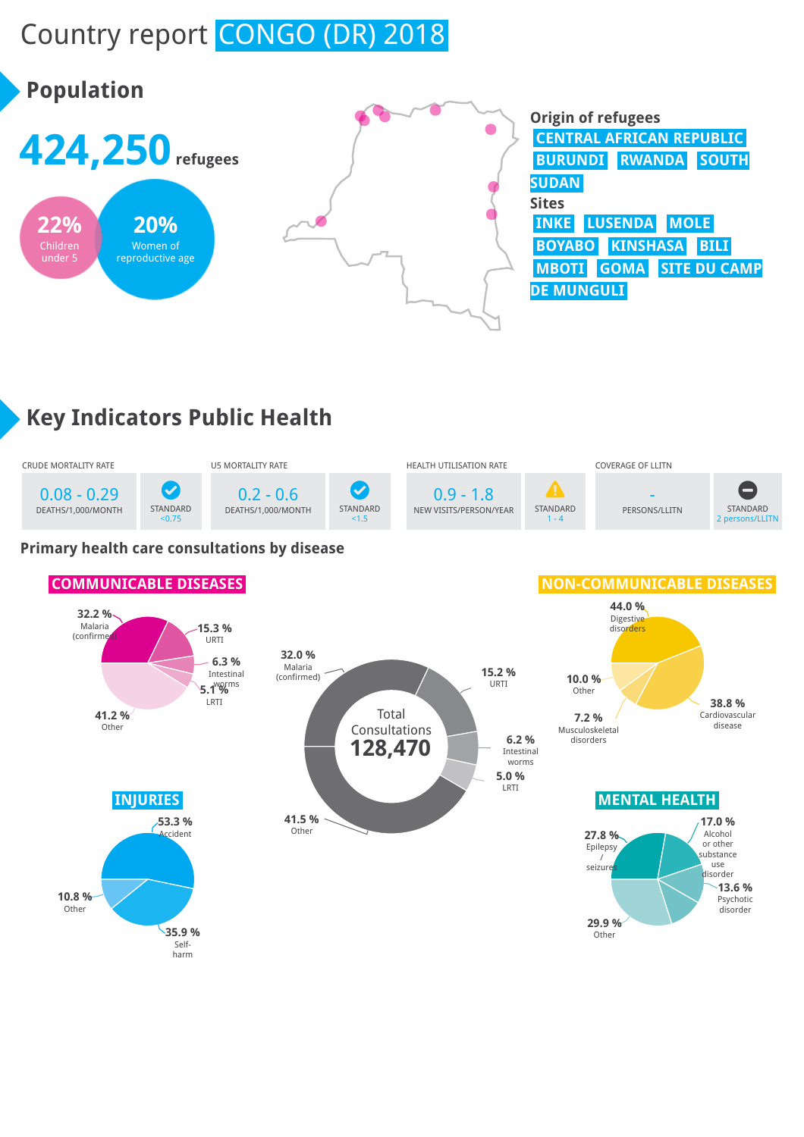# Country report CONGO (DR) 2018



## **Key Indicators Public Health**



#### **Primary health care consultations by disease**

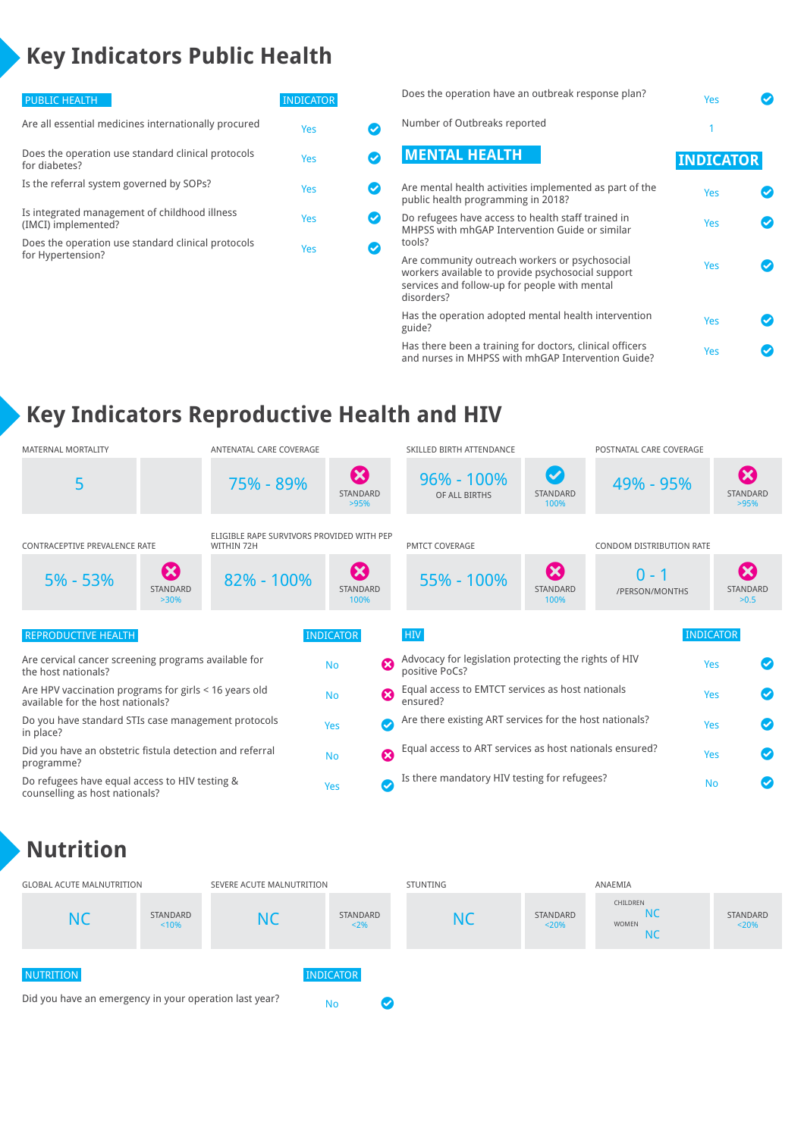## **Key Indicators Public Health**

| <b>INDICATOR</b> |  |
|------------------|--|
| Yes              |  |
| Yes              |  |
| Yes              |  |
| Yes              |  |
| Yes              |  |
|                  |  |

| Does the operation have an outbreak response plan?                                                                                                                 | Yes              |  |
|--------------------------------------------------------------------------------------------------------------------------------------------------------------------|------------------|--|
| Number of Outbreaks reported                                                                                                                                       |                  |  |
| <b>MENTAL HEALTH</b>                                                                                                                                               | <b>INDICATOR</b> |  |
| Are mental health activities implemented as part of the<br>public health programming in 2018?                                                                      | Yes              |  |
| Do refugees have access to health staff trained in<br>MHPSS with mhGAP Intervention Guide or similar<br>tools?                                                     | Yes              |  |
| Are community outreach workers or psychosocial<br>workers available to provide psychosocial support<br>services and follow-up for people with mental<br>disorders? | Yes              |  |
| Has the operation adopted mental health intervention<br>guide?                                                                                                     | Yes              |  |
| Has there been a training for doctors, clinical officers<br>and nurses in MHPSS with mhGAP Intervention Guide?                                                     | Yes              |  |

### **Key Indicators Reproductive Health and HIV**

| <b>MATERNAL MORTALITY</b>                                                                  | ANTENATAL CARE COVERAGE                                 |                                                              | SKILLED BIRTH ATTENDANCE                                                |                                           | POSTNATAL CARE COVERAGE   |                                        |
|--------------------------------------------------------------------------------------------|---------------------------------------------------------|--------------------------------------------------------------|-------------------------------------------------------------------------|-------------------------------------------|---------------------------|----------------------------------------|
| 5                                                                                          | 75% - 89%                                               | $\boldsymbol{\Omega}$<br><b>STANDARD</b><br>>95%             | $96\% - 100\%$<br>OF ALL BIRTHS                                         | $\bm{\bm{\omega}}$<br>STANDARD<br>100%    | 49% - 95%                 | Ø<br><b>STANDARD</b><br>>95%           |
| CONTRACEPTIVE PREVALENCE RATE                                                              | ELIGIBLE RAPE SURVIVORS PROVIDED WITH PEP<br>WITHIN 72H |                                                              | <b>PMTCT COVERAGE</b>                                                   |                                           | CONDOM DISTRIBUTION RATE  |                                        |
| $\boldsymbol{\Omega}$<br>$5% - 53%$<br>STANDARD<br>$>30\%$                                 | 82% - 100%                                              | $\boldsymbol{\Omega}$<br>STANDARD<br>100%                    | 55% - 100%                                                              | $\boldsymbol{\omega}$<br>STANDARD<br>100% | $0 - 1$<br>/PERSON/MONTHS | $\mathbf x$<br><b>STANDARD</b><br>>0.5 |
| <b>REPRODUCTIVE HEALTH</b>                                                                 |                                                         | <b>INDICATOR</b>                                             | <b>HIV</b>                                                              |                                           |                           | <b>INDICATOR</b>                       |
| Are cervical cancer screening programs available for<br>the host nationals?                |                                                         | $\boldsymbol{\Omega}$<br><b>No</b>                           | Advocacy for legislation protecting the rights of HIV<br>positive PoCs? |                                           |                           | Yes                                    |
| Are HPV vaccination programs for girls < 16 years old<br>available for the host nationals? | Ø<br><b>No</b>                                          | Equal access to EMTCT services as host nationals<br>ensured? |                                                                         |                                           | Yes                       |                                        |
| Do you have standard STIs case management protocols<br>in place?                           | Ø<br>Yes                                                | Are there existing ART services for the host nationals?      |                                                                         |                                           | Yes                       |                                        |
| Did you have an obstetric fistula detection and referral<br>programme?                     | $\boldsymbol{\Omega}$<br><b>No</b>                      | Equal access to ART services as host nationals ensured?      |                                                                         |                                           | Yes                       |                                        |
| Do refugees have equal access to HIV testing &<br>counselling as host nationals?           |                                                         | $\bullet$<br>Yes                                             | Is there mandatory HIV testing for refugees?                            |                                           |                           | <b>No</b>                              |

#### **Nutrition**